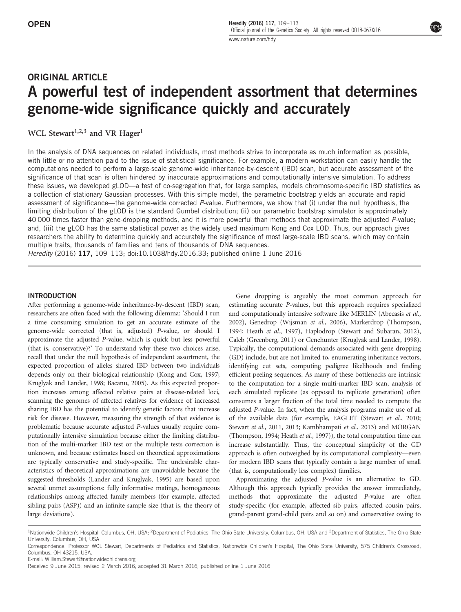# ORIGINAL ARTICLE A powerful test of independent assortment that determines genome-wide significance quickly and accurately

WCL Stewart<sup>1,2,3</sup> and VR Hager<sup>1</sup>

In the analysis of DNA sequences on related individuals, most methods strive to incorporate as much information as possible, with little or no attention paid to the issue of statistical significance. For example, a modern workstation can easily handle the computations needed to perform a large-scale genome-wide inheritance-by-descent (IBD) scan, but accurate assessment of the significance of that scan is often hindered by inaccurate approximations and computationally intensive simulation. To address these issues, we developed gLOD—a test of co-segregation that, for large samples, models chromosome-specific IBD statistics as a collection of stationary Gaussian processes. With this simple model, the parametric bootstrap yields an accurate and rapid assessment of significance—the genome-wide corrected P-value. Furthermore, we show that (i) under the null hypothesis, the limiting distribution of the gLOD is the standard Gumbel distribution; (ii) our parametric bootstrap simulator is approximately 40 000 times faster than gene-dropping methods, and it is more powerful than methods that approximate the adjusted P-value; and, (iii) the gLOD has the same statistical power as the widely used maximum Kong and Cox LOD. Thus, our approach gives researchers the ability to determine quickly and accurately the significance of most large-scale IBD scans, which may contain multiple traits, thousands of families and tens of thousands of DNA sequences.

Heredity (2016) 117, 109–113; doi[:10.1038/hdy.2016.33;](http://dx.doi.org/10.1038/hdy.2016.33) published online 1 June 2016

# **INTRODUCTION**

After performing a genome-wide inheritance-by-descent (IBD) scan, researchers are often faced with the following dilemma: 'Should I run a time consuming simulation to get an accurate estimate of the genome-wide corrected (that is, adjusted) P-value, or should I approximate the adjusted P-value, which is quick but less powerful (that is, conservative)?' To understand why these two choices arise, recall that under the null hypothesis of independent assortment, the expected proportion of alleles shared IBD between two individuals depends only on their biological relationship ([Kong and Cox, 1997;](#page-4-0) [Kruglyak and Lander, 1998](#page-4-0); [Bacanu, 2005](#page-3-0)). As this expected proportion increases among affected relative pairs at disease-related loci, scanning the genomes of affected relatives for evidence of increased sharing IBD has the potential to identify genetic factors that increase risk for disease. However, measuring the strength of that evidence is problematic because accurate adjusted P-values usually require computationally intensive simulation because either the limiting distribution of the multi-marker IBD test or the multiple tests correction is unknown, and because estimates based on theoretical approximations are typically conservative and study-specific. The undesirable characteristics of theoretical approximations are unavoidable because the suggested thresholds [\(Lander and Kruglyak, 1995\)](#page-4-0) are based upon several unmet assumptions: fully informative matings, homogeneous relationships among affected family members (for example, affected sibling pairs (ASP)) and an infinite sample size (that is, the theory of large deviations).

Gene dropping is arguably the most common approach for estimating accurate P-values, but this approach requires specialized and computationally intensive software like MERLIN [\(Abecasis](#page-3-0) et al., [2002\)](#page-3-0), Genedrop [\(Wijsman](#page-4-0) et al., 2006), Markerdrop [\(Thompson,](#page-4-0) [1994;](#page-4-0) Heath et al.[, 1997](#page-3-0)), Haplodrop [\(Stewart and Subaran, 2012\)](#page-4-0), Caleb [\(Greenberg, 2011\)](#page-3-0) or Genehunter [\(Kruglyak and Lander, 1998\)](#page-4-0). Typically, the computational demands associated with gene dropping (GD) include, but are not limited to, enumerating inheritance vectors, identifying cut sets, computing pedigree likelihoods and finding efficient peeling sequences. As many of these bottlenecks are intrinsic to the computation for a single multi-marker IBD scan, analysis of each simulated replicate (as opposed to replicate generation) often consumes a larger fraction of the total time needed to compute the adjusted P-value. In fact, when the analysis programs make use of all of the available data (for example, EAGLET [\(Stewart](#page-4-0) et al., 2010; [Stewart](#page-4-0) et al., 201[1, 2013; Kambhampati](#page-4-0) et al., 2013) and MORGAN [\(Thompson, 1994;](#page-4-0) [Heath](#page-3-0) et al., 1997)), the total computation time can increase substantially. Thus, the conceptual simplicity of the GD approach is often outweighed by its computational complexity—even for modern IBD scans that typically contain a large number of small (that is, computationally less complex) families.

Approximating the adjusted P-value is an alternative to GD. Although this approach typically provides the answer immediately, methods that approximate the adjusted P-value are often study-specific (for example, affected sib pairs, affected cousin pairs, grand-parent grand-child pairs and so on) and conservative owing to

<sup>&</sup>lt;sup>1</sup>Nationwide Children's Hospital, Columbus, OH, USA; <sup>2</sup>Department of Pediatrics, The Ohio State University, Columbus, OH, USA and <sup>3</sup>Department of Statistics, The Ohio State University, Columbus, OH, USA

Correspondence: Professor WCL Stewart, Departments of Pediatrics and Statistics, Nationwide Children's Hospital, The Ohio State University, 575 Children's Crossroad, Columbus, OH 43215, USA.

E-mail: [William.Stewart@nationwidechildrens.org](mailto:William.Stewart@nationwidechildrens.org)

Received 9 June 2015; revised 2 March 2016; accepted 31 March 2016; published online 1 June 2016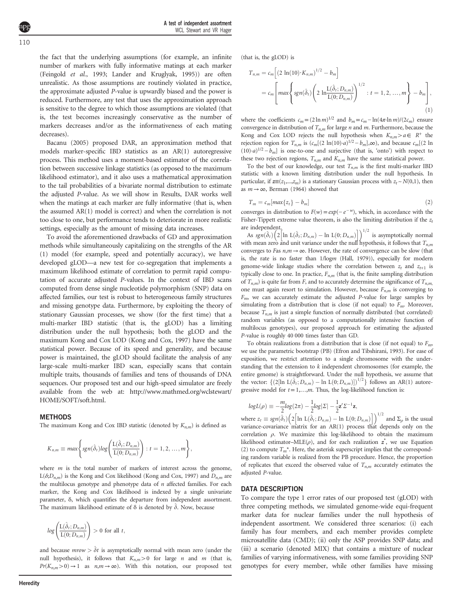the fact that the underlying assumptions (for example, an infinite number of markers with fully informative matings at each marker [\(Feingold](#page-3-0) et al., 1993; [Lander and Kruglyak, 1995\)](#page-4-0)) are often unrealistic. As those assumptions are routinely violated in practice, the approximate adjusted P-value is upwardly biased and the power is reduced. Furthermore, any test that uses the approximation approach is sensitive to the degree to which those assumptions are violated (that is, the test becomes increasingly conservative as the number of markers decreases and/or as the informativeness of each mating decreases).

[Bacanu \(2005\)](#page-3-0) proposed DAR, an approximation method that models marker-specific IBD statistics as an AR(1) autoregressive process. This method uses a moment-based estimator of the correlation between successive linkage statistics (as opposed to the maximum likelihood estimator), and it also uses a mathematical approximation to the tail probabilities of a bivariate normal distribution to estimate the adjusted P-value. As we will show in Results, DAR works well when the matings at each marker are fully informative (that is, when the assumed AR(1) model is correct) and when the correlation is not too close to one, but performance tends to deteriorate in more realistic settings, especially as the amount of missing data increases.

To avoid the aforementioned drawbacks of GD and approximation methods while simultaneously capitalizing on the strengths of the AR (1) model (for example, speed and potentially accuracy), we have developed gLOD—a new test for co-segregation that implements a maximum likelihood estimate of correlation to permit rapid computation of accurate adjusted P-values. In the context of IBD scans computed from dense single nucleotide polymorphism (SNP) data on affected families, our test is robust to heterogeneous family structures and missing genotype data. Furthermore, by exploiting the theory of stationary Gaussian processes, we show (for the first time) that a multi-marker IBD statistic (that is, the gLOD) has a limiting distribution under the null hypothesis; both the gLOD and the maximum Kong and Cox LOD [\(Kong and Cox, 1997\)](#page-4-0) have the same statistical power. Because of its speed and generality, and because power is maintained, the gLOD should facilitate the analysis of any large-scale multi-marker IBD scan, especially scans that contain multiple traits, thousands of families and tens of thousands of DNA sequences. Our proposed test and our high-speed simulator are freely available from the web at: [http://www.mathmed.org/wclstewart/](http://www.mathmed.org/wclstewart/HOME/SOFT/soft.html) [HOME/SOFT/soft.html.](http://www.mathmed.org/wclstewart/HOME/SOFT/soft.html)

## **METHODS**

The maximum Kong and Cox IBD statistic (denoted by  $K_{n,m}$ ) is defined as

$$
K_{n,m} \equiv max \Bigg\{ sgn(\hat{\delta}_t) log \left( \frac{\mathcal{L}(\hat{\delta}_t; D_{n,m})}{\mathcal{L}(0; D_{n,m})} \right) : t = 1, 2, ..., m \Bigg\},\,
$$

where  $m$  is the total number of markers of interest across the genome,  $L(\delta;D_{n,m})$  is the Kong and Cox likelihood [\(Kong and Cox, 1997](#page-4-0)) and  $D_{n,m}$  are the multilocus genotype and phenotype data of  $n$  affected families. For each marker, the Kong and Cox likelihood is indexed by a single univariate parameter, δ, which quantifies the departure from independent assortment. The maximum likelihood estimate of  $\delta$  is denoted by  $\delta$ . Now, because

$$
log\left(\frac{\mathcal{L}(\hat{\delta}_t; D_{n,m})}{\mathcal{L}(0; D_{n,m})}\right) > 0 \text{ for all } t,
$$

and because *mrow*  $> \hat{\delta}t$  is asymptotically normal with mean zero (under the null hypothesis), it follows that  $K_{n,m} > 0$  for large *n* and *m* (that is,  $Pr(K_{n,m} > 0) \rightarrow 1$  as  $n,m \rightarrow \infty$ ). With this notation, our proposed test (that is, the gLOD) is

$$
T_{n,m} = c_m \left[ (2 \ln(10) \cdot K_{n,m})^{1/2} - b_m \right]
$$
  
=  $c_m \left[ max \left\{ sgn(\hat{\delta}_t) \left( 2 \ln \frac{L(\hat{\delta}_t; D_{n,m})}{L(0; D_{n,m})} \right)^{1/2} : t = 1, 2, ..., m \right\} - b_m \right],$   
(1)  
where the coefficients  $c_m = (2 \ln m)^{1/2}$  and  $b_m = c_m - \ln(4\pi \ln m)/(2c_m)$  ensure convergence in distribution of T. for large *n* and *m* Furthermore because the

convergence in distribution of  $T_{n,m}$  for large *n* and *m*. Furthermore, because the Kong and Cox LOD rejects the null hypothesis when  $K_{n,m} > a \in \mathbb{R}^+$  the where the coefficients  $c_m = (2 \ln m)^{1/2}$  and  $b_m = c_m - \ln(4\pi \ln m)/(2c_m)$  ensure<br>convergence in distribution of  $T_{n,m}$  for large *n* and *m*. Furthermore, because the<br>Kong and Cox LOD rejects the null hypothesis when  $K_{n,m} > a \in$ where the coefficients  $c_m = (2 \ln m)^{1/2}$  and  $b_m = c_m - \ln(4\pi \ln m)/(2c_m)$  ensure<br>convergence in distribution of  $T_{n,m}$  for large *n* and *m*. Furthermore, because the<br>Kong and Cox LOD rejects the null hypothesis when  $K_{n,m} > a \in$ these two rejection regions,  $T_{n,m}$  and  $K_{n,m}$  have the same statistical power.

To the best of our knowledge, our test  $T_{n,m}$  is the first multi-marker IBD statistic with a known limiting distribution under the null hypothesis. In particular, if  $z=(z_1,...,z_m)$  is a stationary Gaussian process with  $z_t \sim N(0,1)$ , then<br>as  $m \to \infty$ . Berman (1964), showed that as  $m \rightarrow \infty$ , [Berman \(1964\)](#page-3-0) showed that statistic with a known limiting distribution under the null hypothesis. In<br>particular, if  $z\equiv(z_1,...,z_m)$  is a stationary Gaussian process with  $z_t \sim N(0,1)$ , then<br>as  $m \rightarrow \infty$ , Berman (1964) showed that<br> $T_m = c_m[max\{z_1\} - b_m]$ 

$$
T_m = c_m [max\{z_t\} - b_m]
$$
 (2)

converges in distribution to  $F(w) = exp(-e^{-w})$ , which, in accordance with the Fisher-Tippett extreme value theorem, is also the limiting distribution if the  $z_t$ are independent.

As sgn $(\hat{\theta}_t)$  [2  $\left[ \ln L(\hat{\delta}_t; D_{n,m}) - \ln L(0; D_{n,m}) \right]^{1/2}$  is asymptotically normal<br>th mean zero and unit variance under the null pyrothesis it follows that T with mean zero and unit variance under the null hypothesis, it follows that  $T_{nm}$ converges to Fas  $n,m \to \infty$ . However, the rate of convergence can be slow (that is, the rate is no faster than 1/logm ([Hall, 1979](#page-3-0))), especially for modern genome-wide linkage studies where the correlation between  $z_t$  and  $z_{t+1}$  is typically close to one. In practice,  $F_{n,m}$  (that is, the finite sampling distribution of  $T_{n,m}$ ) is quite far from F, and to accurately determine the significance of  $T_{n,m}$ , one must again resort to simulation. However, because  $F_{n,m}$  is converging to  $F_{mp}$  we can accurately estimate the adjusted P-value for large samples by simulating from a distribution that is close (if not equal) to  $F_m$ . Moreover, because  $T_{n,m}$  is just a simple function of normally distributed (but correlated) random variables (as opposed to a computationally intensive function of multilocus genotypes), our proposed approach for estimating the adjusted P-value is roughly 40 000 times faster than GD.

To obtain realizations from a distribution that is close (if not equal) to  $F_m$ , we use the parametric bootstrap (PB) ([Efron and Tibshirani, 1993](#page-3-0)). For ease of exposition, we restrict attention to a single chromosome with the understanding that the extension to k independent chromosomes (for example, the entire genome) is straightforward. Under the null hypothesis, we assume that the vector:  $\{(2[\ln \text{L}(\hat{\delta}_t; D_{n,m}) - \ln \text{L}(0; D_{n,m})])^{1/2}\}\)$  follows an AR(1) autoregressive model for  $t=1,...,m$ . Thus, the log-likelihood function is:

$$
logL(\rho) \equiv -\frac{m}{2}log(2\pi) - \frac{1}{2}log|\Sigma| - \frac{1}{2}\mathbf{z}'\Sigma^{-1}\mathbf{z},
$$

where  $z_t \equiv sgn(\tilde{\delta}_t) \Big( 2 \Big[ ln \Big[ L(\tilde{\delta}_t; D_{n,m}) - ln \Big[ L(0; D_{n,m}) \Big] \Big]^{1/2}$  and  $\Sigma_\rho$  is the usual variance-covariance matrix for an AR(1) process that depends only on the correlation ρ. We maximize this log-likelihood to obtain the maximum likelihood estimator-MLE( $\rho$ ), and for each realization  $z^*$ , we use Equation (2) to compute  $T_m^*$ . Here, the asterisk superscript implies that the corresponding random variable is realized from the PB procedure. Hence, the proportion of replicates that exceed the observed value of  $T_{n,m}$  accurately estimates the adjusted P-value.

# DATA DESCRIPTION

To compare the type 1 error rates of our proposed test (gLOD) with three competing methods, we simulated genome-wide equi-frequent marker data for nuclear families under the null hypothesis of independent assortment. We considered three scenarios: (i) each family has four members, and each member provides complete microsatellite data (CMD); (ii) only the ASP provides SNP data; and (iii) a scenario (denoted MIX) that contains a mixture of nuclear families of varying informativeness, with some families providing SNP genotypes for every member, while other families have missing

110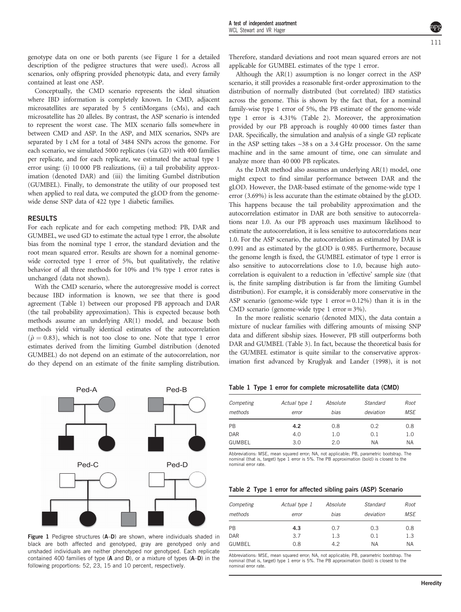<span id="page-2-0"></span>genotype data on one or both parents (see Figure 1 for a detailed description of the pedigree structures that were used). Across all scenarios, only offspring provided phenotypic data, and every family contained at least one ASP.

Conceptually, the CMD scenario represents the ideal situation where IBD information is completely known. In CMD, adjacent microsatellites are separated by 5 centiMorgans (cMs), and each microsatellite has 20 alleles. By contrast, the ASP scenario is intended to represent the worst case. The MIX scenario falls somewhere in between CMD and ASP. In the ASP, and MIX scenarios, SNPs are separated by 1 cM for a total of 3484 SNPs across the genome. For each scenario, we simulated 5000 replicates (via GD) with 400 families per replicate, and for each replicate, we estimated the actual type 1 error using: (i) 10 000 PB realizations, (ii) a tail probability approximation (denoted DAR) and (iii) the limiting Gumbel distribution (GUMBEL). Finally, to demonstrate the utility of our proposed test when applied to real data, we computed the gLOD from the genomewide dense SNP data of 422 type 1 diabetic families.

### RESULTS

For each replicate and for each competing method: PB, DAR and GUMBEL, we used GD to estimate the actual type 1 error, the absolute bias from the nominal type 1 error, the standard deviation and the root mean squared error. Results are shown for a nominal genomewide corrected type 1 error of 5%, but qualitatively, the relative behavior of all three methods for 10% and 1% type 1 error rates is unchanged (data not shown).

With the CMD scenario, where the autoregressive model is correct because IBD information is known, we see that there is good agreement (Table 1) between our proposed PB approach and DAR (the tail probability approximation). This is expected because both methods assume an underlying AR(1) model, and because both methods yield virtually identical estimates of the autocorrelation  $(\hat{\rho} = 0.83)$ , which is not too close to one. Note that type 1 error estimates derived from the limiting Gumbel distribution (denoted GUMBEL) do not depend on an estimate of the autocorrelation, nor do they depend on an estimate of the finite sampling distribution.



Figure 1 Pedigree structures (A-D) are shown, where individuals shaded in black are both affected and genotyped, gray are genotyped only and unshaded individuals are neither phenotyped nor genotyped. Each replicate contained 400 families of type (A and D), or a mixture of types (A–D) in the following proportions: 52, 23, 15 and 10 percent, respectively.

Therefore, standard deviations and root mean squared errors are not applicable for GUMBEL estimates of the type 1 error.

Although the AR(1) assumption is no longer correct in the ASP scenario, it still provides a reasonable first-order approximation to the distribution of normally distributed (but correlated) IBD statistics across the genome. This is shown by the fact that, for a nominal family-wise type 1 error of 5%, the PB estimate of the genome-wide type 1 error is 4.31% (Table 2). Moreover, the approximation provided by our PB approach is roughly 40 000 times faster than DAR. Specifically, the simulation and analysis of a single GD replicate in the ASP setting takes ~38 s on a 3.4 GHz processor. On the same machine and in the same amount of time, one can simulate and analyze more than 40 000 PB replicates.

As the DAR method also assumes an underlying AR(1) model, one might expect to find similar performance between DAR and the gLOD. However, the DAR-based estimate of the genome-wide type 1 error (3.69%) is less accurate than the estimate obtained by the gLOD. This happens because the tail probability approximation and the autocorrelation estimator in DAR are both sensitive to autocorrelations near 1.0. As our PB approach uses maximum likelihood to estimate the autocorrelation, it is less sensitive to autocorrelations near 1.0. For the ASP scenario, the autocorrelation as estimated by DAR is 0.991 and as estimated by the gLOD is 0.985. Furthermore, because the genome length is fixed, the GUMBEL estimator of type 1 error is also sensitive to autocorrelations close to 1.0, because high autocorrelation is equivalent to a reduction in 'effective' sample size (that is, the finite sampling distribution is far from the limiting Gumbel distribution). For example, it is considerably more conservative in the ASP scenario (genome-wide type 1 error  $= 0.12\%$ ) than it is in the CMD scenario (genome-wide type 1 error=3%).

In the more realistic scenario (denoted MIX), the data contain a mixture of nuclear families with differing amounts of missing SNP data and different sibship sizes. However, PB still outperforms both DAR and GUMBEL ([Table 3\)](#page-3-0). In fact, because the theoretical basis for the GUMBEL estimator is quite similar to the conservative approximation first advanced by [Kruglyak and Lander \(1998\),](#page-4-0) it is not

|  |  |  |  |  |  |  | Table 1 Type 1 error for complete microsatellite data (CMD) |  |  |
|--|--|--|--|--|--|--|-------------------------------------------------------------|--|--|
|--|--|--|--|--|--|--|-------------------------------------------------------------|--|--|

| Competing<br>methods | Actual type 1<br>error | Absolute<br>bias | Standard<br>deviation | Root<br><b>MSE</b> |
|----------------------|------------------------|------------------|-----------------------|--------------------|
| <b>PB</b>            | 4.2                    | 0.8              | 0.2                   | 0.8                |
| <b>DAR</b>           | 4.0                    | 1.0              | 0.1                   | 1.0                |
| GUMBEL               | 3.0                    | 2.0              | <b>NA</b>             | <b>NA</b>          |

Abbreviations: MSE, mean squared error; NA, not applicable; PB, parametric bootstrap. The nominal (that is, target) type 1 error is 5%. The PB approximation (bold) is closest to the nominal error rate.

| Table 2 Type 1 error for affected sibling pairs (ASP) Scenario |
|----------------------------------------------------------------|
|----------------------------------------------------------------|

| Competing<br>methods | Actual type 1<br>error | Absolute<br>bias | Standard<br>deviation | Root<br><b>MSE</b> |
|----------------------|------------------------|------------------|-----------------------|--------------------|
| <b>PB</b>            | 4.3                    | 0.7              | 0.3                   | 0.8                |
| <b>DAR</b>           | 3.7                    | 1.3              | 0.1                   | 1.3                |
| GUMBEL               | 0.8                    | 4.2              | <b>NA</b>             | <b>NA</b>          |

Abbreviations: MSE, mean squared error; NA, not applicable; PB, parametric bootstrap. The nominal (that is, target) type 1 error is 5%. The PB approximation (bold) is closest to the nominal error rate.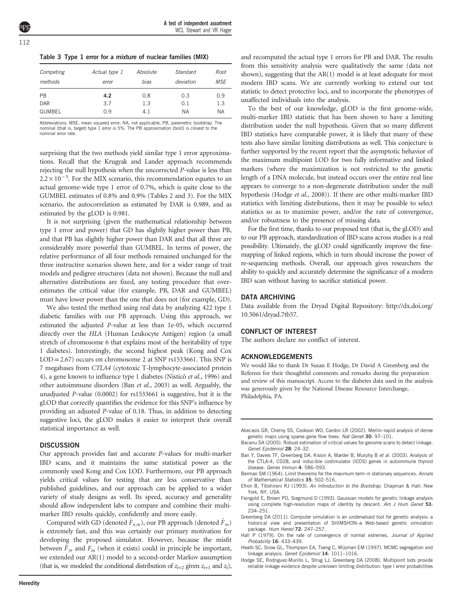<span id="page-3-0"></span>Table 3 Type 1 error for a mixture of nuclear families (MIX)

| Competing<br>methods | Actual type 1<br>error | Absolute<br>bias | Standard<br>deviation | Root<br><b>MSE</b> |
|----------------------|------------------------|------------------|-----------------------|--------------------|
| <b>PB</b>            | 4.2                    | 0.8              | 0.3                   | 0.9                |
| <b>DAR</b>           | 3.7                    | 1.3              | 0.1                   | 1.3                |
| <b>GUMBEL</b>        | 0.9                    | 4.1              | <b>NA</b>             | <b>NA</b>          |

Abbreviations: MSE, mean squared error; NA, not applicable; PB, parametric bootstrap. The nominal (that is, target) type 1 error is 5%. The PB approximation (bold) is closest to the nominal error rate.

surprising that the two methods yield similar type 1 error approximations. Recall that the Krugyak and Lander approach recommends rejecting the null hypothesis when the uncorrected P-value is less than  $2.2 \times 10^{-5}$ . For the MIX scenario, this recommendation equates to an actual genome-wide type 1 error of 0.7%, which is quite close to the GUMBEL estimates of 0.8% and 0.9% [\(Tables 2](#page-2-0) and 3). For the MIX scenario, the autocorrelation as estimated by DAR is 0.989, and as estimated by the gLOD is 0.981.

It is not surprising (given the mathematical relationship between type 1 error and power) that GD has slightly higher power than PB, and that PB has slightly higher power than DAR and that all three are considerably more powerful than GUMBEL. In terms of power, the relative performance of all four methods remained unchanged for the three instructive scenarios shown here, and for a wider range of trait models and pedigree structures (data not shown). Because the null and alternative distributions are fixed, any testing procedure that overestimates the critical value (for example, PB, DAR and GUMBEL) must have lower power than the one that does not (for example, GD).

We also tested the method using real data by analyzing 422 type 1 diabetic families with our PB approach. Using this approach, we estimated the adjusted P-value at less than 1e-05, which occurred directly over the HLA (Human Leukocyte Antigen) region (a small stretch of chromosome 6 that explains most of the heritability of type 1 diabetes). Interestingly, the second highest peak (Kong and Cox  $LOD = 2.67$ ) occurs on chromosome 2 at SNP rs1533661. This SNP is 7 megabases from CTLA4 (cytotoxic T-lymphocyte-associated protein 4), a gene known to influence type 1 diabetes (Nisticò et al., 1996) and other autoimmune disorders (Ban et al., 2003) as well. Arguably, the unadjusted P-value (0.0002) for rs1533661 is suggestive, but it is the gLOD that correctly quantifies the evidence for this SNP's influence by providing an adjusted P-value of 0.18. Thus, in addition to detecting suggestive loci, the gLOD makes it easier to interpret their overall statistical importance as well.

#### **DISCUSSION**

Our approach provides fast and accurate P-values for multi-marker IBD scans, and it maintains the same statistical power as the commonly used Kong and Cox LOD. Furthermore, our PB approach yields critical values for testing that are less conservative than published guidelines, and our approach can be applied to a wider variety of study designs as well. Its speed, accuracy and generality should allow independent labs to compare and combine their multimarker IBD results quickly, confidently and more easily.

Compared with GD (denoted  $\hat{F}_{n,m}$ ), our PB approach (denoted  $\tilde{F}_m$ ) is extremely fast, and this was certainly our primary motivation for developing the proposed simulator. However, because the misfit between  $F_m$  and  $F_m$  (when it exists) could in principle be important, we extended our AR(1) model to a second-order Markov assumption (that is, we modeled the conditional distribution of  $z_{t+2}$  given  $z_{t+1}$  and  $z_t$ ),

and recomputed the actual type 1 errors for PB and DAR. The results from this sensitivity analysis were qualitatively the same (data not shown), suggesting that the AR(1) model is at least adequate for most modern IBD scans. We are currently working to extend our test statistic to detect protective loci, and to incorporate the phenotypes of unaffected individuals into the analysis.

To the best of our knowledge, gLOD is the first genome-wide, multi-marker IBD statistic that has been shown to have a limiting distribution under the null hypothesis. Given that so many different IBD statistics have comparable power, it is likely that many of these tests also have similar limiting distributions as well. This conjecture is further supported by the recent report that the asymptotic behavior of the maximum multipoint LOD for two fully informative and linked markers (where the maximization is not restricted to the genetic length of a DNA molecule, but instead occurs over the entire real line appears to converge to a non-degenerate distribution under the null hypothesis (Hodge et al., 2008)). If there are other multi-marker IBD statistics with limiting distributions, then it may be possible to select statistics so as to maximize power, and/or the rate of convergence, and/or robustness to the presence of missing data.

For the first time, thanks to our proposed test (that is, the gLOD) and to our PB approach, standardization of IBD scans across studies is a real possibility. Ultimately, the gLOD could significantly improve the finemapping of linked regions, which in turn should increase the power of re-sequencing methods. Overall, our approach gives researchers the ability to quickly and accurately determine the significance of a modern IBD scan without having to sacrifice statistical power.

#### DATA ARCHIVING

Data available from the Dryad Digital Repository: [http://dx.doi.org/](http://dx.doi.org/10.5061/dryad.7tb57) [10.5061/dryad.7tb57](http://dx.doi.org/10.5061/dryad.7tb57).

### CONFLICT OF INTEREST

The authors declare no conflict of interest.

#### ACKNOWLEDGEMENTS

We would like to thank Dr Susan E Hodge, Dr David A Greenberg and the Referees for their thoughtful comments and remarks during the preparation and review of this manuscript. Access to the diabetes data used in the analysis was generously given by the National Disease Resource Interchange, Philadelphia, PA.

Abecasis GR, Cherny SS, Cookson WO, Cardon LR (2002). Merlin–rapid analysis of dense genetic maps using sparse gene flow trees. Nat Genet 30: 97–101.

- Bacanu SA (2005). Robust estimation of critical values for genome scans to detect linkage. Genet Epidemiol 28: 24–32.
- Ban Y, Davies TF, Greenberg DA, Kissin A, Marder B, Murphy B et al. (2003). Analysis of the CTLA-4, CD28, and inducible costimulator (ICOS) genes in autoimmune thyroid disease. Genes Immun 4: 586–593.
- Berman SM (1964). Limit theorems for the maximum term in stationary sequences. Annals of Mathematical Statistics 35: 502–516.
- Efron B, Tibshirani RJ (1993). An Introduction to the Bootstrap. Chapman & Hall: New York, NY, USA.
- Feingold E, Brown PO, Siegmund D (1993). Gaussian models for genetic linkage analysis using complete high-resolution maps of identity by descent. Am J Hum Genet 53: 234–251.
- Greenberg DA (2011). Computer simulation is an undervalued tool for genetic analysis: a historical view and presentation of SHIMSHON–a Web-based genetic simulation package. Hum Hered 72: 247–257.
- Hall P (1979). On the rate of convergence of normal extremes. Journal of Applied Probability 16: 433–439.
- Heath SC, Snow GL, Thompson EA, Tseng C, Wijsman EM (1997). MCMC segregation and linkage analysis. Genet Epidemiol 14: 1011-1016.
- Hodge SE, Rodriguez-Murillo L, Strug LJ, Greenberg DA (2008). Multipoint lods provide reliable linkage evidence despite unknown limiting distribution: type I error probabilities